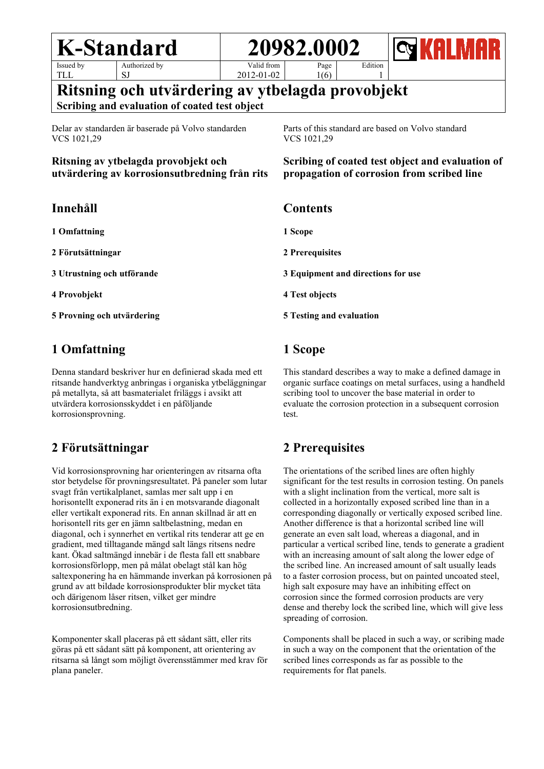TLL

Authorized by SJ

Valid from 2012-01-02

Page 1(6)

1 **Ritsning och utvärdering av ytbelagda provobjekt**

**Scribing and evaluation of coated test object**

Delar av standarden är baserade på Volvo standarden VCS 1021,29

**Ritsning av ytbelagda provobjekt och utvärdering av korrosionsutbredning från rits** Parts of this standard are based on Volvo standard VCS 1021,29

Edition

**Scribing of coated test object and evaluation of propagation of corrosion from scribed line**

# **Innehåll**

**1 Omfattning**

**2 Förutsättningar**

**3 Utrustning och utförande**

**4 Provobjekt**

**5 Provning och utvärdering**

# **1 Omfattning**

Denna standard beskriver hur en definierad skada med ett ritsande handverktyg anbringas i organiska ytbeläggningar på metallyta, så att basmaterialet friläggs i avsikt att utvärdera korrosionsskyddet i en påföljande korrosionsprovning.

# **2 Förutsättningar**

Vid korrosionsprovning har orienteringen av ritsarna ofta stor betydelse för provningsresultatet. På paneler som lutar svagt från vertikalplanet, samlas mer salt upp i en horisontellt exponerad rits än i en motsvarande diagonalt eller vertikalt exponerad rits. En annan skillnad är att en horisontell rits ger en jämn saltbelastning, medan en diagonal, och i synnerhet en vertikal rits tenderar att ge en gradient, med tilltagande mängd salt längs ritsens nedre kant. Ökad saltmängd innebär i de flesta fall ett snabbare korrosionsförlopp, men på målat obelagt stål kan hög saltexponering ha en hämmande inverkan på korrosionen på grund av att bildade korrosionsprodukter blir mycket täta och därigenom låser ritsen, vilket ger mindre korrosionsutbredning.

Komponenter skall placeras på ett sådant sätt, eller rits göras på ett sådant sätt på komponent, att orientering av ritsarna så långt som möjligt överensstämmer med krav för plana paneler.

**1 Scope 3 Equipment and directions for use**

# **1 Scope**

This standard describes a way to make a defined damage in organic surface coatings on metal surfaces, using a handheld scribing tool to uncover the base material in order to evaluate the corrosion protection in a subsequent corrosion test.

# **2 Prerequisites**

The orientations of the scribed lines are often highly significant for the test results in corrosion testing. On panels with a slight inclination from the vertical, more salt is collected in a horizontally exposed scribed line than in a corresponding diagonally or vertically exposed scribed line. Another difference is that a horizontal scribed line will generate an even salt load, whereas a diagonal, and in particular a vertical scribed line, tends to generate a gradient with an increasing amount of salt along the lower edge of the scribed line. An increased amount of salt usually leads to a faster corrosion process, but on painted uncoated steel, high salt exposure may have an inhibiting effect on corrosion since the formed corrosion products are very dense and thereby lock the scribed line, which will give less spreading of corrosion.

Components shall be placed in such a way, or scribing made in such a way on the component that the orientation of the scribed lines corresponds as far as possible to the requirements for flat panels.

# **Contents**

**2 Prerequisites**

**4 Test objects**

**5 Testing and evaluation**

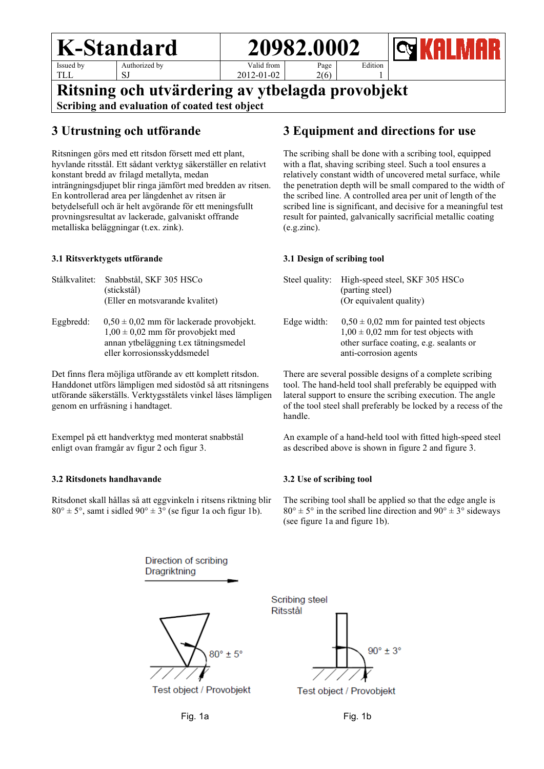**K-Standard** 1 **20982.000** 

Issued by TLL

Authorized by SJ

Valid from 2012-01-02 Page 2(6)

# 1 **Ritsning och utvärdering av ytbelagda provobjekt**

**Scribing and evaluation of coated test object**

## **3 Utrustning och utförande**

Ritsningen görs med ett ritsdon försett med ett plant, hyvlande ritsstål. Ett sådant verktyg säkerställer en relativt konstant bredd av frilagd metallyta, medan inträngningsdjupet blir ringa jämfört med bredden av ritsen. En kontrollerad area per längdenhet av ritsen är betydelsefull och är helt avgörande för ett meningsfullt provningsresultat av lackerade, galvaniskt offrande metalliska beläggningar (t.ex. zink).

#### **3.1 Ritsverktygets utförande**

- Stålkvalitet: Snabbstål, SKF 305 HSCo (stickstål) (Eller en motsvarande kvalitet)
- Eggbredd:  $0.50 \pm 0.02$  mm för lackerade provobjekt.  $1,00 \pm 0,02$  mm för provobjekt med annan ytbeläggning t.ex tätningsmedel eller korrosionsskyddsmedel

Det finns flera möjliga utförande av ett komplett ritsdon. Handdonet utförs lämpligen med sidostöd så att ritsningens utförande säkerställs. Verktygsstålets vinkel låses lämpligen genom en urfräsning i handtaget.

Exempel på ett handverktyg med monterat snabbstål enligt ovan framgår av figur 2 och figur 3.

#### **3.2 Ritsdonets handhavande**

Ritsdonet skall hållas så att eggvinkeln i ritsens riktning blir  $80^\circ \pm 5^\circ$ , samt i sidled  $90^\circ \pm 3^\circ$  (se figur 1a och figur 1b).

# **3 Equipment and directions for use**

Edition

The scribing shall be done with a scribing tool, equipped with a flat, shaving scribing steel. Such a tool ensures a relatively constant width of uncovered metal surface, while the penetration depth will be small compared to the width of the scribed line. A controlled area per unit of length of the scribed line is significant, and decisive for a meaningful test result for painted, galvanically sacrificial metallic coating (e.g.zinc).

#### **3.1 Design of scribing tool**

|             | Steel quality: High-speed steel, SKF 305 HSCo<br>(parting steel)<br>(Or equivalent quality)                                                                 |
|-------------|-------------------------------------------------------------------------------------------------------------------------------------------------------------|
| Edge width: | $0.50 \pm 0.02$ mm for painted test objects<br>$1,00 \pm 0,02$ mm for test objects with<br>other surface coating, e.g. sealants or<br>anti-corrosion agents |

There are several possible designs of a complete scribing tool. The hand-held tool shall preferably be equipped with lateral support to ensure the scribing execution. The angle of the tool steel shall preferably be locked by a recess of the handle.

An example of a hand-held tool with fitted high-speed steel as described above is shown in figure 2 and figure 3.

#### **3.2 Use of scribing tool**

The scribing tool shall be applied so that the edge angle is  $80^\circ \pm 5^\circ$  in the scribed line direction and  $90^\circ \pm 3^\circ$  sideways (see figure 1a and figure 1b).



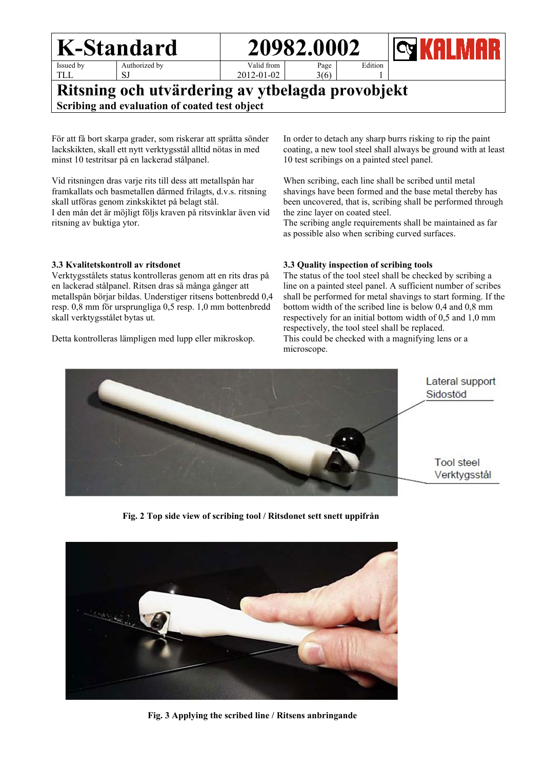TLL

Authorized by SJ

Valid from 2012-01-02 Page

3(6)

# **Ritsning och utvärdering av ytbelagda provobjekt Scribing and evaluation of coated test object**

För att få bort skarpa grader, som riskerar att sprätta sönder lackskikten, skall ett nytt verktygsstål alltid nötas in med minst 10 testritsar på en lackerad stålpanel.

Vid ritsningen dras varje rits till dess att metallspån har framkallats och basmetallen därmed frilagts, d.v.s. ritsning skall utföras genom zinkskiktet på belagt stål. I den mån det är möjligt följs kraven på ritsvinklar även vid ritsning av buktiga ytor.

In order to detach any sharp burrs risking to rip the paint coating, a new tool steel shall always be ground with at least 10 test scribings on a painted steel panel.

Edition 1

When scribing, each line shall be scribed until metal shavings have been formed and the base metal thereby has been uncovered, that is, scribing shall be performed through the zinc layer on coated steel.

The scribing angle requirements shall be maintained as far as possible also when scribing curved surfaces.

#### **3.3 Kvalitetskontroll av ritsdonet**

Verktygsstålets status kontrolleras genom att en rits dras på en lackerad stålpanel. Ritsen dras så många gånger att metallspån börjar bildas. Understiger ritsens bottenbredd 0,4 resp. 0,8 mm för ursprungliga 0,5 resp. 1,0 mm bottenbredd skall verktygsstålet bytas ut.

Detta kontrolleras lämpligen med lupp eller mikroskop.

#### **3.3 Quality inspection of scribing tools**

The status of the tool steel shall be checked by scribing a line on a painted steel panel. A sufficient number of scribes shall be performed for metal shavings to start forming. If the bottom width of the scribed line is below 0,4 and 0,8 mm respectively for an initial bottom width of 0,5 and 1,0 mm respectively, the tool steel shall be replaced. This could be checked with a magnifying lens or a microscope.



**Fig. 2 Top side view of scribing tool / Ritsdonet sett snett uppifrån**



 **Fig. 3 Applying the scribed line / Ritsens anbringande**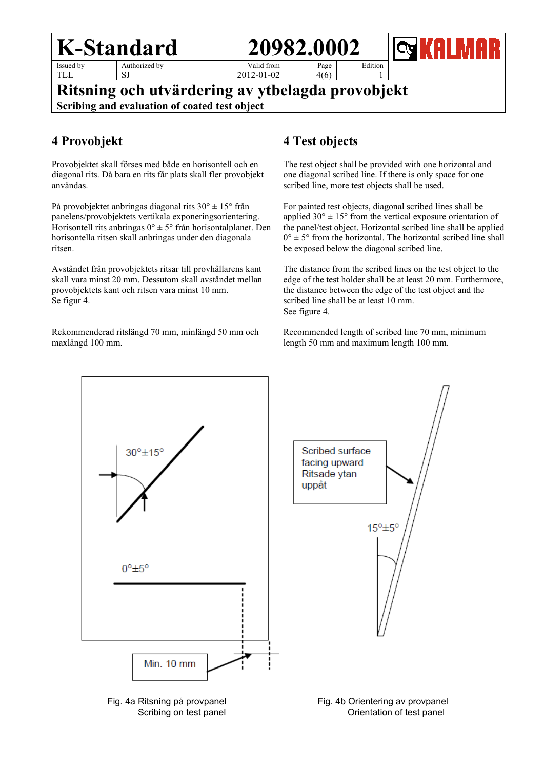TLL

Authorized by SJ

Valid from 2012-01-02

# **Ritsning och utvärdering av ytbelagda provobjekt Scribing and evaluation of coated test object**

# **4 Provobjekt**

Provobjektet skall förses med både en horisontell och en diagonal rits. Då bara en rits får plats skall fler provobjekt användas.

På provobjektet anbringas diagonal rits 30° ± 15° från panelens/provobjektets vertikala exponeringsorientering. Horisontell rits anbringas  $0^\circ \pm 5^\circ$  från horisontalplanet. Den horisontella ritsen skall anbringas under den diagonala ritsen.

Avståndet från provobjektets ritsar till provhållarens kant skall vara minst 20 mm. Dessutom skall avståndet mellan provobjektets kant och ritsen vara minst 10 mm. Se figur 4.

Rekommenderad ritslängd 70 mm, minlängd 50 mm och maxlängd 100 mm.

# **4 Test objects**

Page 4(6)

The test object shall be provided with one horizontal and one diagonal scribed line. If there is only space for one scribed line, more test objects shall be used.

Edition 1

For painted test objects, diagonal scribed lines shall be applied  $30^{\circ} \pm 15^{\circ}$  from the vertical exposure orientation of the panel/test object. Horizontal scribed line shall be applied  $0^\circ \pm 5^\circ$  from the horizontal. The horizontal scribed line shall be exposed below the diagonal scribed line.

The distance from the scribed lines on the test object to the edge of the test holder shall be at least 20 mm. Furthermore, the distance between the edge of the test object and the scribed line shall be at least 10 mm. See figure 4.

Recommended length of scribed line 70 mm, minimum length 50 mm and maximum length 100 mm.





 Fig. 4a Ritsning på provpanel Fig. 4b Orientering av provpanel Scribing on test panel Scribing on test panel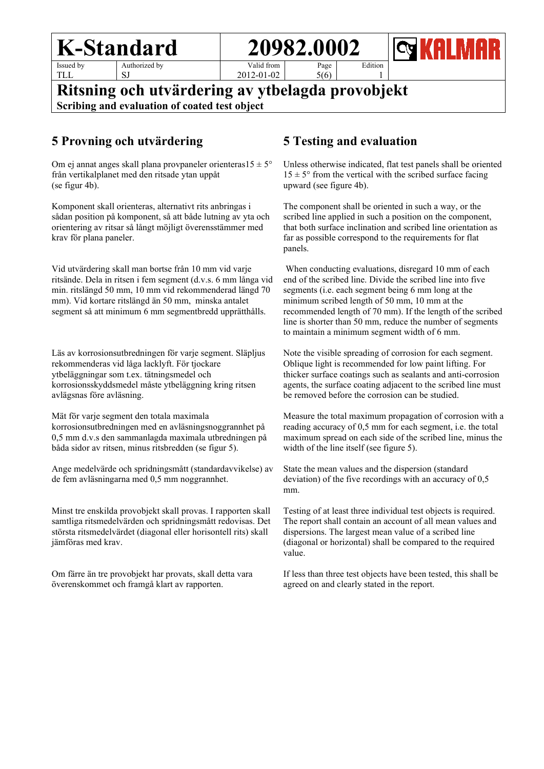TLL

Authorized by SJ

Valid from 2012-01-02

Page 5(6)

## **Ritsning och utvärdering av ytbelagda provobjekt Scribing and evaluation of coated test object**

## **5 Provning och utvärdering**

Om ej annat anges skall plana provpaneler orienteras $15 \pm 5^{\circ}$ från vertikalplanet med den ritsade ytan uppåt (se figur 4b).

Komponent skall orienteras, alternativt rits anbringas i sådan position på komponent, så att både lutning av yta och orientering av ritsar så långt möjligt överensstämmer med krav för plana paneler.

Vid utvärdering skall man bortse från 10 mm vid varje ritsände. Dela in ritsen i fem segment (d.v.s. 6 mm långa vid min. ritslängd 50 mm, 10 mm vid rekommenderad längd 70 mm). Vid kortare ritslängd än 50 mm, minska antalet segment så att minimum 6 mm segmentbredd upprätthålls.

Läs av korrosionsutbredningen för varje segment. Släpljus rekommenderas vid låga lacklyft. För tjockare ytbeläggningar som t.ex. tätningsmedel och korrosionsskyddsmedel måste ytbeläggning kring ritsen avlägsnas före avläsning.

Mät för varje segment den totala maximala korrosionsutbredningen med en avläsningsnoggrannhet på 0,5 mm d.v.s den sammanlagda maximala utbredningen på båda sidor av ritsen, minus ritsbredden (se figur 5).

Ange medelvärde och spridningsmått (standardavvikelse) av de fem avläsningarna med 0,5 mm noggrannhet.

Minst tre enskilda provobjekt skall provas. I rapporten skall samtliga ritsmedelvärden och spridningsmått redovisas. Det största ritsmedelvärdet (diagonal eller horisontell rits) skall jämföras med krav.

Om färre än tre provobjekt har provats, skall detta vara överenskommet och framgå klart av rapporten.

## **5 Testing and evaluation**

Edition 1

Unless otherwise indicated, flat test panels shall be oriented  $15 \pm 5^{\circ}$  from the vertical with the scribed surface facing upward (see figure 4b).

The component shall be oriented in such a way, or the scribed line applied in such a position on the component, that both surface inclination and scribed line orientation as far as possible correspond to the requirements for flat panels.

When conducting evaluations, disregard 10 mm of each end of the scribed line. Divide the scribed line into five segments (i.e. each segment being 6 mm long at the minimum scribed length of 50 mm, 10 mm at the recommended length of 70 mm). If the length of the scribed line is shorter than 50 mm, reduce the number of segments to maintain a minimum segment width of 6 mm.

Note the visible spreading of corrosion for each segment. Oblique light is recommended for low paint lifting. For thicker surface coatings such as sealants and anti-corrosion agents, the surface coating adjacent to the scribed line must be removed before the corrosion can be studied.

Measure the total maximum propagation of corrosion with a reading accuracy of 0,5 mm for each segment, i.e. the total maximum spread on each side of the scribed line, minus the width of the line itself (see figure 5).

State the mean values and the dispersion (standard deviation) of the five recordings with an accuracy of 0,5 mm.

Testing of at least three individual test objects is required. The report shall contain an account of all mean values and dispersions. The largest mean value of a scribed line (diagonal or horizontal) shall be compared to the required value.

If less than three test objects have been tested, this shall be agreed on and clearly stated in the report.